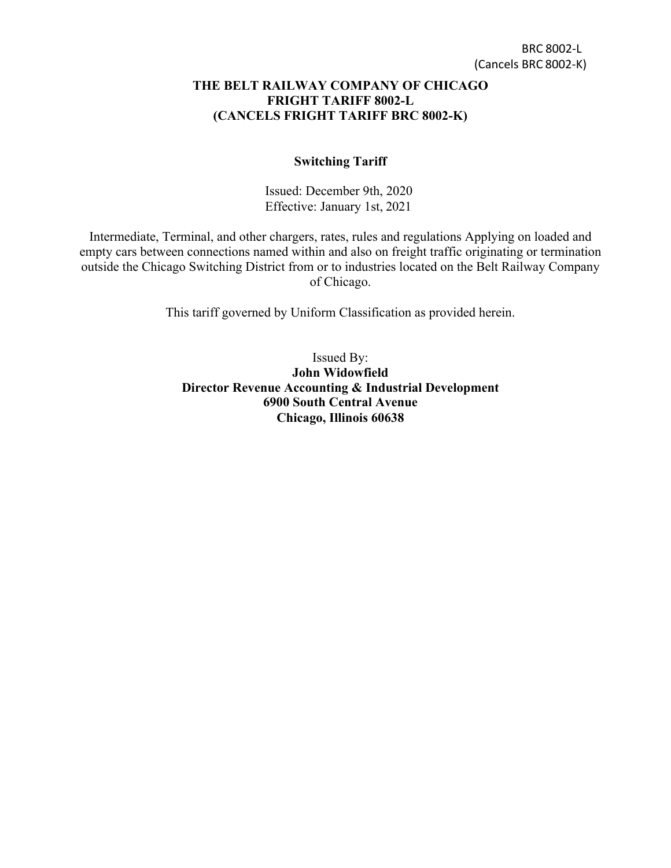#### **THE BELT RAILWAY COMPANY OF CHICAGO FRIGHT TARIFF 8002-L (CANCELS FRIGHT TARIFF BRC 8002-K)**

#### **Switching Tariff**

Issued: December 9th, 2020 Effective: January 1st, 2021

Intermediate, Terminal, and other chargers, rates, rules and regulations Applying on loaded and empty cars between connections named within and also on freight traffic originating or termination outside the Chicago Switching District from or to industries located on the Belt Railway Company of Chicago.

This tariff governed by Uniform Classification as provided herein.

Issued By: **John Widowfield Director Revenue Accounting & Industrial Development 6900 South Central Avenue Chicago, Illinois 60638**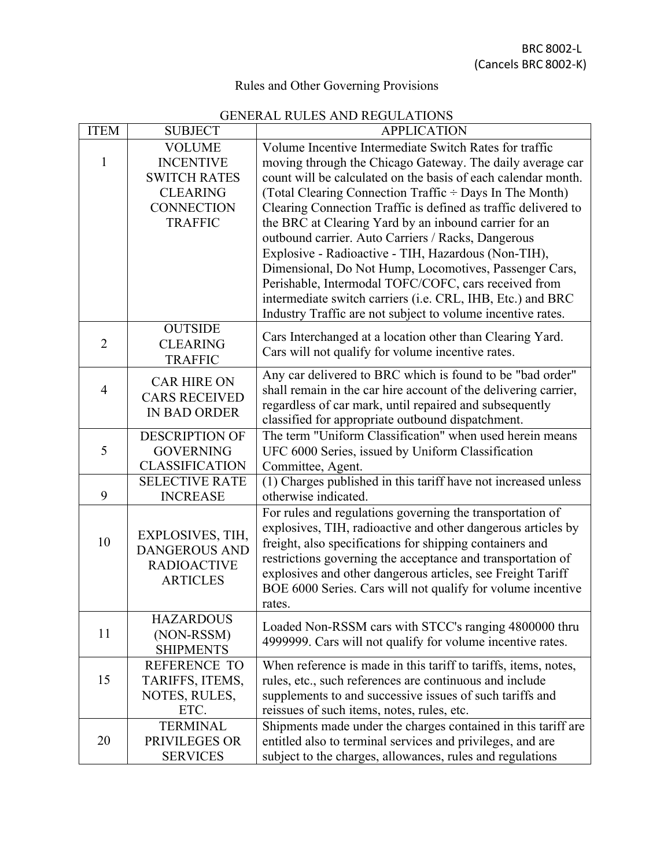# Rules and Other Governing Provisions

## GENERAL RULES AND REGULATIONS

| <b>ITEM</b>         | <b>SUBJECT</b>                                                              | <b>APPLICATION</b>                                                                                                         |  |  |  |
|---------------------|-----------------------------------------------------------------------------|----------------------------------------------------------------------------------------------------------------------------|--|--|--|
|                     | <b>VOLUME</b>                                                               | Volume Incentive Intermediate Switch Rates for traffic                                                                     |  |  |  |
| 1                   | <b>INCENTIVE</b>                                                            | moving through the Chicago Gateway. The daily average car                                                                  |  |  |  |
|                     | <b>SWITCH RATES</b>                                                         | count will be calculated on the basis of each calendar month.                                                              |  |  |  |
|                     | <b>CLEARING</b>                                                             | (Total Clearing Connection Traffic ÷ Days In The Month)                                                                    |  |  |  |
|                     | <b>CONNECTION</b>                                                           | Clearing Connection Traffic is defined as traffic delivered to                                                             |  |  |  |
|                     | <b>TRAFFIC</b>                                                              | the BRC at Clearing Yard by an inbound carrier for an                                                                      |  |  |  |
|                     |                                                                             | outbound carrier. Auto Carriers / Racks, Dangerous                                                                         |  |  |  |
|                     |                                                                             | Explosive - Radioactive - TIH, Hazardous (Non-TIH),                                                                        |  |  |  |
|                     |                                                                             | Dimensional, Do Not Hump, Locomotives, Passenger Cars,                                                                     |  |  |  |
|                     |                                                                             | Perishable, Intermodal TOFC/COFC, cars received from                                                                       |  |  |  |
|                     |                                                                             | intermediate switch carriers (i.e. CRL, IHB, Etc.) and BRC                                                                 |  |  |  |
|                     |                                                                             | Industry Traffic are not subject to volume incentive rates.                                                                |  |  |  |
|                     | <b>OUTSIDE</b>                                                              | Cars Interchanged at a location other than Clearing Yard.                                                                  |  |  |  |
| $\overline{2}$      | <b>CLEARING</b>                                                             | Cars will not qualify for volume incentive rates.                                                                          |  |  |  |
|                     | <b>TRAFFIC</b>                                                              |                                                                                                                            |  |  |  |
| $\overline{4}$      | <b>CAR HIRE ON</b>                                                          | Any car delivered to BRC which is found to be "bad order"                                                                  |  |  |  |
|                     | <b>CARS RECEIVED</b>                                                        | shall remain in the car hire account of the delivering carrier,<br>regardless of car mark, until repaired and subsequently |  |  |  |
| <b>IN BAD ORDER</b> |                                                                             | classified for appropriate outbound dispatchment.                                                                          |  |  |  |
|                     | <b>DESCRIPTION OF</b>                                                       | The term "Uniform Classification" when used herein means                                                                   |  |  |  |
| 5                   | <b>GOVERNING</b>                                                            | UFC 6000 Series, issued by Uniform Classification                                                                          |  |  |  |
|                     | <b>CLASSIFICATION</b>                                                       | Committee, Agent.                                                                                                          |  |  |  |
|                     | <b>SELECTIVE RATE</b>                                                       | (1) Charges published in this tariff have not increased unless                                                             |  |  |  |
| 9                   | <b>INCREASE</b>                                                             | otherwise indicated.                                                                                                       |  |  |  |
|                     |                                                                             | For rules and regulations governing the transportation of                                                                  |  |  |  |
|                     | EXPLOSIVES, TIH,                                                            | explosives, TIH, radioactive and other dangerous articles by                                                               |  |  |  |
| 10                  | <b>DANGEROUS AND</b>                                                        | freight, also specifications for shipping containers and                                                                   |  |  |  |
|                     | <b>RADIOACTIVE</b>                                                          | restrictions governing the acceptance and transportation of                                                                |  |  |  |
|                     | <b>ARTICLES</b>                                                             | explosives and other dangerous articles, see Freight Tariff                                                                |  |  |  |
|                     |                                                                             | BOE 6000 Series. Cars will not qualify for volume incentive                                                                |  |  |  |
|                     |                                                                             | rates.                                                                                                                     |  |  |  |
|                     | <b>HAZARDOUS</b>                                                            | Loaded Non-RSSM cars with STCC's ranging 4800000 thru                                                                      |  |  |  |
| 11                  | (NON-RSSM)                                                                  | 4999999. Cars will not qualify for volume incentive rates.                                                                 |  |  |  |
|                     | <b>SHIPMENTS</b>                                                            |                                                                                                                            |  |  |  |
|                     | <b>REFERENCE TO</b>                                                         | When reference is made in this tariff to tariffs, items, notes,                                                            |  |  |  |
| 15                  | TARIFFS, ITEMS,                                                             | rules, etc., such references are continuous and include                                                                    |  |  |  |
|                     | NOTES, RULES,<br>ETC.                                                       | supplements to and successive issues of such tariffs and<br>reissues of such items, notes, rules, etc.                     |  |  |  |
|                     | <b>TERMINAL</b>                                                             | Shipments made under the charges contained in this tariff are                                                              |  |  |  |
| 20                  | entitled also to terminal services and privileges, and are<br>PRIVILEGES OR |                                                                                                                            |  |  |  |
|                     | <b>SERVICES</b>                                                             | subject to the charges, allowances, rules and regulations                                                                  |  |  |  |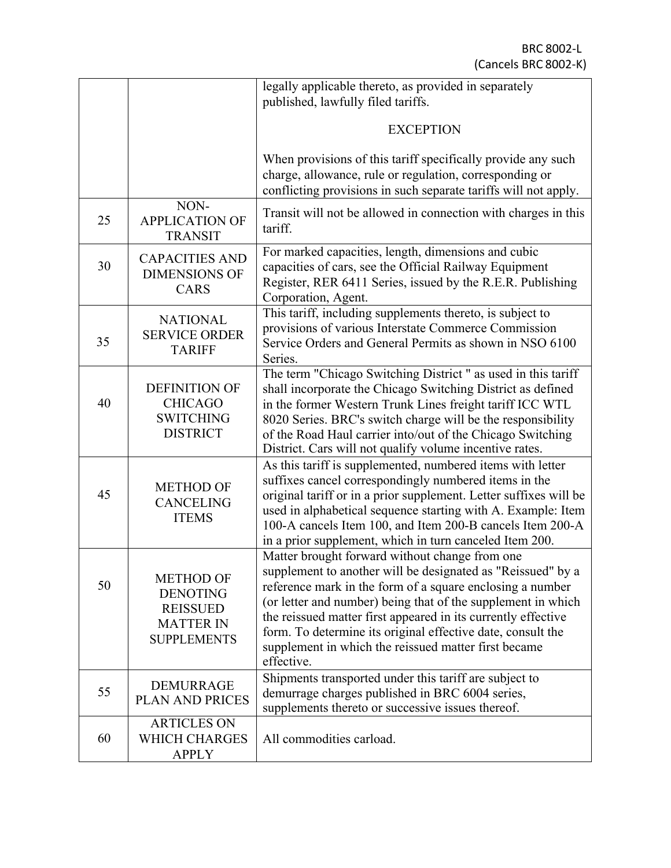|    |                                                                                                  | legally applicable thereto, as provided in separately                                                                                                                                                                                                                                                                                                                                                                                            |  |  |
|----|--------------------------------------------------------------------------------------------------|--------------------------------------------------------------------------------------------------------------------------------------------------------------------------------------------------------------------------------------------------------------------------------------------------------------------------------------------------------------------------------------------------------------------------------------------------|--|--|
|    |                                                                                                  | published, lawfully filed tariffs.                                                                                                                                                                                                                                                                                                                                                                                                               |  |  |
|    |                                                                                                  | <b>EXCEPTION</b>                                                                                                                                                                                                                                                                                                                                                                                                                                 |  |  |
|    |                                                                                                  | When provisions of this tariff specifically provide any such<br>charge, allowance, rule or regulation, corresponding or<br>conflicting provisions in such separate tariffs will not apply.                                                                                                                                                                                                                                                       |  |  |
| 25 | NON-<br><b>APPLICATION OF</b><br><b>TRANSIT</b>                                                  | Transit will not be allowed in connection with charges in this<br>tariff.                                                                                                                                                                                                                                                                                                                                                                        |  |  |
| 30 | <b>CAPACITIES AND</b><br><b>DIMENSIONS OF</b><br><b>CARS</b>                                     | For marked capacities, length, dimensions and cubic<br>capacities of cars, see the Official Railway Equipment<br>Register, RER 6411 Series, issued by the R.E.R. Publishing<br>Corporation, Agent.                                                                                                                                                                                                                                               |  |  |
| 35 | <b>NATIONAL</b><br><b>SERVICE ORDER</b><br><b>TARIFF</b>                                         | This tariff, including supplements thereto, is subject to<br>provisions of various Interstate Commerce Commission<br>Service Orders and General Permits as shown in NSO 6100<br>Series.                                                                                                                                                                                                                                                          |  |  |
| 40 | <b>DEFINITION OF</b><br><b>CHICAGO</b><br><b>SWITCHING</b><br><b>DISTRICT</b>                    | The term "Chicago Switching District" as used in this tariff<br>shall incorporate the Chicago Switching District as defined<br>in the former Western Trunk Lines freight tariff ICC WTL<br>8020 Series. BRC's switch charge will be the responsibility<br>of the Road Haul carrier into/out of the Chicago Switching<br>District. Cars will not qualify volume incentive rates.                                                                  |  |  |
| 45 | <b>METHOD OF</b><br><b>CANCELING</b><br><b>ITEMS</b>                                             | As this tariff is supplemented, numbered items with letter<br>suffixes cancel correspondingly numbered items in the<br>original tariff or in a prior supplement. Letter suffixes will be<br>used in alphabetical sequence starting with A. Example: Item<br>100-A cancels Item 100, and Item 200-B cancels Item 200-A<br>in a prior supplement, which in turn canceled Item 200.                                                                 |  |  |
| 50 | <b>METHOD OF</b><br><b>DENOTING</b><br><b>REISSUED</b><br><b>MATTER IN</b><br><b>SUPPLEMENTS</b> | Matter brought forward without change from one<br>supplement to another will be designated as "Reissued" by a<br>reference mark in the form of a square enclosing a number<br>(or letter and number) being that of the supplement in which<br>the reissued matter first appeared in its currently effective<br>form. To determine its original effective date, consult the<br>supplement in which the reissued matter first became<br>effective. |  |  |
| 55 | <b>DEMURRAGE</b><br>PLAN AND PRICES                                                              | Shipments transported under this tariff are subject to<br>demurrage charges published in BRC 6004 series,<br>supplements thereto or successive issues thereof.                                                                                                                                                                                                                                                                                   |  |  |
| 60 | <b>ARTICLES ON</b><br><b>WHICH CHARGES</b><br><b>APPLY</b>                                       | All commodities carload.                                                                                                                                                                                                                                                                                                                                                                                                                         |  |  |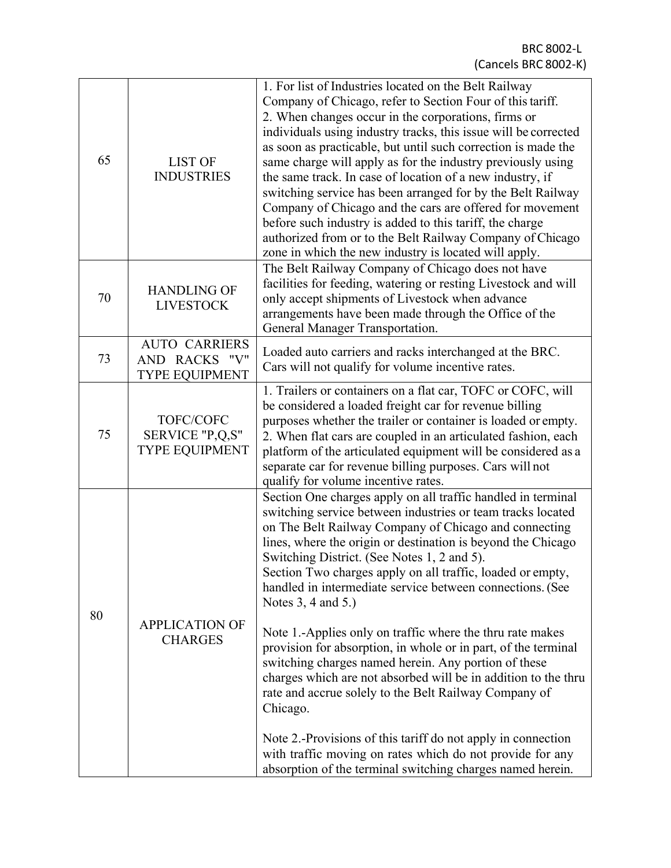| 65<br><b>LIST OF</b><br><b>INDUSTRIES</b>                                       |                                                                | 1. For list of Industries located on the Belt Railway<br>Company of Chicago, refer to Section Four of this tariff.<br>2. When changes occur in the corporations, firms or<br>individuals using industry tracks, this issue will be corrected<br>as soon as practicable, but until such correction is made the<br>same charge will apply as for the industry previously using<br>the same track. In case of location of a new industry, if<br>switching service has been arranged for by the Belt Railway<br>Company of Chicago and the cars are offered for movement<br>before such industry is added to this tariff, the charge<br>authorized from or to the Belt Railway Company of Chicago<br>zone in which the new industry is located will apply.                                                                                                                                                                                      |  |
|---------------------------------------------------------------------------------|----------------------------------------------------------------|---------------------------------------------------------------------------------------------------------------------------------------------------------------------------------------------------------------------------------------------------------------------------------------------------------------------------------------------------------------------------------------------------------------------------------------------------------------------------------------------------------------------------------------------------------------------------------------------------------------------------------------------------------------------------------------------------------------------------------------------------------------------------------------------------------------------------------------------------------------------------------------------------------------------------------------------|--|
| 70                                                                              | <b>HANDLING OF</b><br><b>LIVESTOCK</b>                         | The Belt Railway Company of Chicago does not have<br>facilities for feeding, watering or resting Livestock and will<br>only accept shipments of Livestock when advance<br>arrangements have been made through the Office of the<br>General Manager Transportation.                                                                                                                                                                                                                                                                                                                                                                                                                                                                                                                                                                                                                                                                          |  |
| 73                                                                              | <b>AUTO CARRIERS</b><br>AND RACKS "V"<br><b>TYPE EQUIPMENT</b> | Loaded auto carriers and racks interchanged at the BRC.<br>Cars will not qualify for volume incentive rates.                                                                                                                                                                                                                                                                                                                                                                                                                                                                                                                                                                                                                                                                                                                                                                                                                                |  |
| 75                                                                              | TOFC/COFC<br>SERVICE "P,Q,S"<br><b>TYPE EQUIPMENT</b>          | 1. Trailers or containers on a flat car, TOFC or COFC, will<br>be considered a loaded freight car for revenue billing<br>purposes whether the trailer or container is loaded or empty.<br>2. When flat cars are coupled in an articulated fashion, each<br>platform of the articulated equipment will be considered as a<br>separate car for revenue billing purposes. Cars will not<br>qualify for volume incentive rates.                                                                                                                                                                                                                                                                                                                                                                                                                                                                                                                 |  |
| Notes 3, 4 and 5.)<br>80<br><b>APPLICATION OF</b><br><b>CHARGES</b><br>Chicago. |                                                                | Section One charges apply on all traffic handled in terminal<br>switching service between industries or team tracks located<br>on The Belt Railway Company of Chicago and connecting<br>lines, where the origin or destination is beyond the Chicago<br>Switching District. (See Notes 1, 2 and 5).<br>Section Two charges apply on all traffic, loaded or empty,<br>handled in intermediate service between connections. (See<br>Note 1.-Applies only on traffic where the thru rate makes<br>provision for absorption, in whole or in part, of the terminal<br>switching charges named herein. Any portion of these<br>charges which are not absorbed will be in addition to the thru<br>rate and accrue solely to the Belt Railway Company of<br>Note 2.-Provisions of this tariff do not apply in connection<br>with traffic moving on rates which do not provide for any<br>absorption of the terminal switching charges named herein. |  |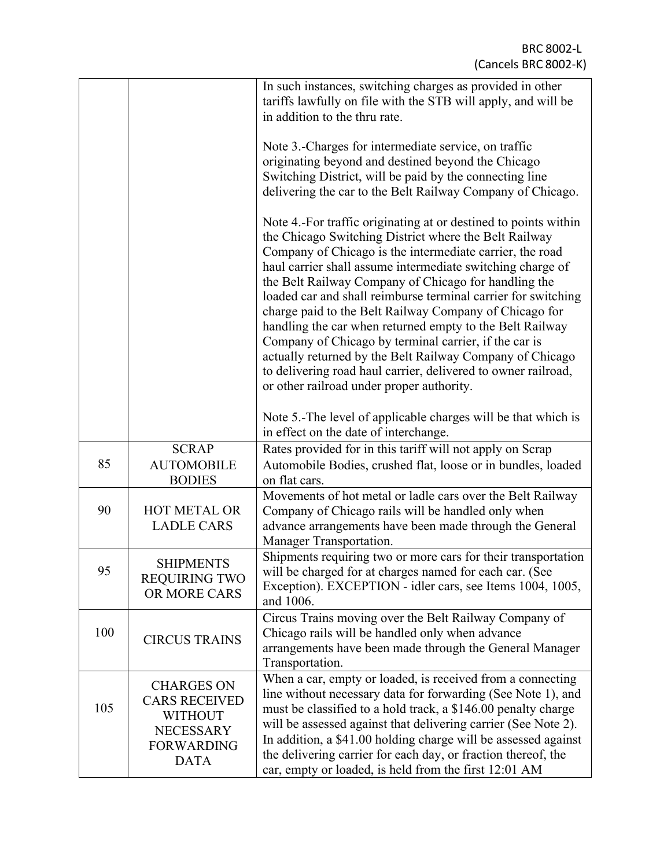|     |                                                                                                                     | In such instances, switching charges as provided in other<br>tariffs lawfully on file with the STB will apply, and will be<br>in addition to the thru rate.                                                                                                                                                                                                                                                                                                                                                                                                                                                                                                                                                                          |
|-----|---------------------------------------------------------------------------------------------------------------------|--------------------------------------------------------------------------------------------------------------------------------------------------------------------------------------------------------------------------------------------------------------------------------------------------------------------------------------------------------------------------------------------------------------------------------------------------------------------------------------------------------------------------------------------------------------------------------------------------------------------------------------------------------------------------------------------------------------------------------------|
|     |                                                                                                                     | Note 3.-Charges for intermediate service, on traffic<br>originating beyond and destined beyond the Chicago<br>Switching District, will be paid by the connecting line<br>delivering the car to the Belt Railway Company of Chicago.                                                                                                                                                                                                                                                                                                                                                                                                                                                                                                  |
|     |                                                                                                                     | Note 4.-For traffic originating at or destined to points within<br>the Chicago Switching District where the Belt Railway<br>Company of Chicago is the intermediate carrier, the road<br>haul carrier shall assume intermediate switching charge of<br>the Belt Railway Company of Chicago for handling the<br>loaded car and shall reimburse terminal carrier for switching<br>charge paid to the Belt Railway Company of Chicago for<br>handling the car when returned empty to the Belt Railway<br>Company of Chicago by terminal carrier, if the car is<br>actually returned by the Belt Railway Company of Chicago<br>to delivering road haul carrier, delivered to owner railroad,<br>or other railroad under proper authority. |
|     |                                                                                                                     | Note 5.-The level of applicable charges will be that which is<br>in effect on the date of interchange.                                                                                                                                                                                                                                                                                                                                                                                                                                                                                                                                                                                                                               |
| 85  | <b>SCRAP</b><br><b>AUTOMOBILE</b><br><b>BODIES</b>                                                                  | Rates provided for in this tariff will not apply on Scrap<br>Automobile Bodies, crushed flat, loose or in bundles, loaded<br>on flat cars.                                                                                                                                                                                                                                                                                                                                                                                                                                                                                                                                                                                           |
| 90  | <b>HOT METAL OR</b><br><b>LADLE CARS</b>                                                                            | Movements of hot metal or ladle cars over the Belt Railway<br>Company of Chicago rails will be handled only when<br>advance arrangements have been made through the General<br>Manager Transportation.                                                                                                                                                                                                                                                                                                                                                                                                                                                                                                                               |
| 95  | <b>SHIPMENTS</b><br><b>REQUIRING TWO</b><br>OR MORE CARS                                                            | Shipments requiring two or more cars for their transportation<br>will be charged for at charges named for each car. (See<br>Exception). EXCEPTION - idler cars, see Items 1004, 1005,<br>and 1006.                                                                                                                                                                                                                                                                                                                                                                                                                                                                                                                                   |
| 100 | <b>CIRCUS TRAINS</b>                                                                                                | Circus Trains moving over the Belt Railway Company of<br>Chicago rails will be handled only when advance<br>arrangements have been made through the General Manager<br>Transportation.                                                                                                                                                                                                                                                                                                                                                                                                                                                                                                                                               |
| 105 | <b>CHARGES ON</b><br><b>CARS RECEIVED</b><br><b>WITHOUT</b><br><b>NECESSARY</b><br><b>FORWARDING</b><br><b>DATA</b> | When a car, empty or loaded, is received from a connecting<br>line without necessary data for forwarding (See Note 1), and<br>must be classified to a hold track, a \$146.00 penalty charge<br>will be assessed against that delivering carrier (See Note 2).<br>In addition, a \$41.00 holding charge will be assessed against<br>the delivering carrier for each day, or fraction thereof, the<br>car, empty or loaded, is held from the first 12:01 AM                                                                                                                                                                                                                                                                            |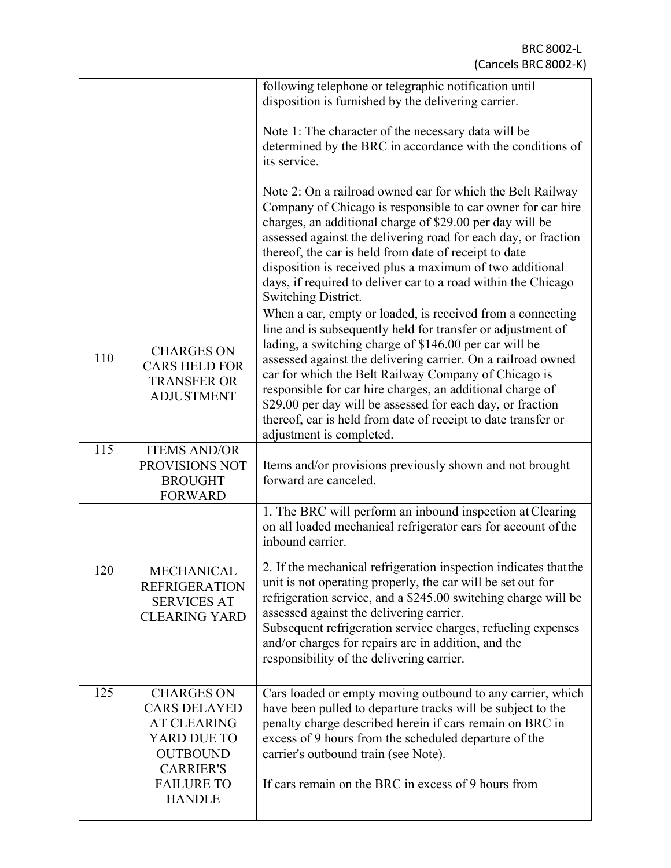|     |                                                                                                                                                            | following telephone or telegraphic notification until<br>disposition is furnished by the delivering carrier.                                                                                                                                                                                                                                                                                                                                                                                                                        |
|-----|------------------------------------------------------------------------------------------------------------------------------------------------------------|-------------------------------------------------------------------------------------------------------------------------------------------------------------------------------------------------------------------------------------------------------------------------------------------------------------------------------------------------------------------------------------------------------------------------------------------------------------------------------------------------------------------------------------|
|     |                                                                                                                                                            | Note 1: The character of the necessary data will be<br>determined by the BRC in accordance with the conditions of<br>its service.                                                                                                                                                                                                                                                                                                                                                                                                   |
|     |                                                                                                                                                            | Note 2: On a railroad owned car for which the Belt Railway<br>Company of Chicago is responsible to car owner for car hire<br>charges, an additional charge of \$29.00 per day will be<br>assessed against the delivering road for each day, or fraction<br>thereof, the car is held from date of receipt to date<br>disposition is received plus a maximum of two additional<br>days, if required to deliver car to a road within the Chicago<br>Switching District.                                                                |
| 110 | <b>CHARGES ON</b><br><b>CARS HELD FOR</b><br><b>TRANSFER OR</b><br><b>ADJUSTMENT</b>                                                                       | When a car, empty or loaded, is received from a connecting<br>line and is subsequently held for transfer or adjustment of<br>lading, a switching charge of \$146.00 per car will be<br>assessed against the delivering carrier. On a railroad owned<br>car for which the Belt Railway Company of Chicago is<br>responsible for car hire charges, an additional charge of<br>\$29.00 per day will be assessed for each day, or fraction<br>thereof, car is held from date of receipt to date transfer or<br>adjustment is completed. |
| 115 | <b>ITEMS AND/OR</b><br>PROVISIONS NOT<br><b>BROUGHT</b><br><b>FORWARD</b>                                                                                  | Items and/or provisions previously shown and not brought<br>forward are canceled.                                                                                                                                                                                                                                                                                                                                                                                                                                                   |
|     |                                                                                                                                                            | 1. The BRC will perform an inbound inspection at Clearing<br>on all loaded mechanical refrigerator cars for account of the<br>inbound carrier.                                                                                                                                                                                                                                                                                                                                                                                      |
| 120 | MECHANICAL<br><b>REFRIGERATION</b><br><b>SERVICES AT</b><br><b>CLEARING YARD</b>                                                                           | 2. If the mechanical refrigeration inspection indicates that the<br>unit is not operating properly, the car will be set out for<br>refrigeration service, and a \$245.00 switching charge will be<br>assessed against the delivering carrier.<br>Subsequent refrigeration service charges, refueling expenses<br>and/or charges for repairs are in addition, and the<br>responsibility of the delivering carrier.                                                                                                                   |
| 125 | <b>CHARGES ON</b><br><b>CARS DELAYED</b><br><b>AT CLEARING</b><br>YARD DUE TO<br><b>OUTBOUND</b><br><b>CARRIER'S</b><br><b>FAILURE TO</b><br><b>HANDLE</b> | Cars loaded or empty moving outbound to any carrier, which<br>have been pulled to departure tracks will be subject to the<br>penalty charge described herein if cars remain on BRC in<br>excess of 9 hours from the scheduled departure of the<br>carrier's outbound train (see Note).<br>If cars remain on the BRC in excess of 9 hours from                                                                                                                                                                                       |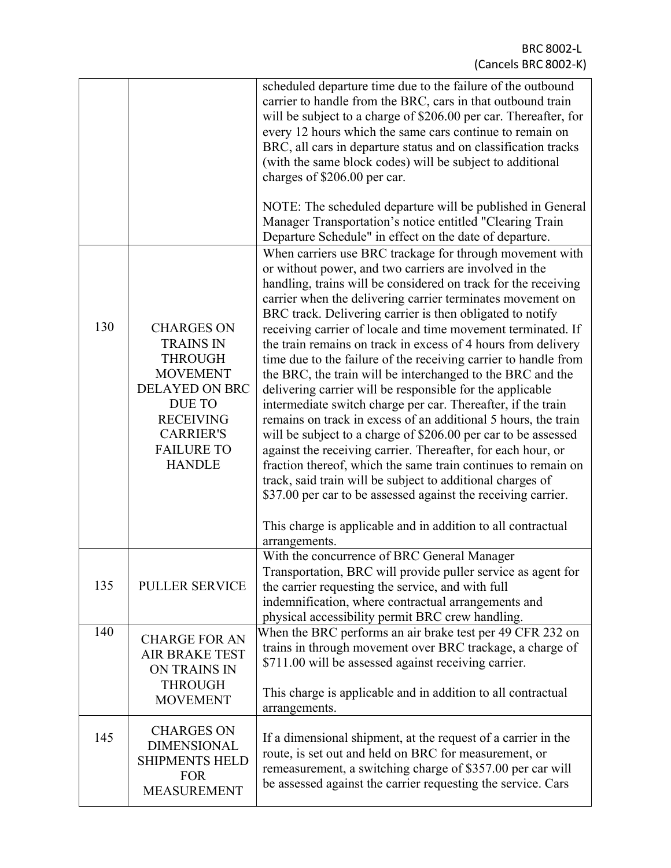|     |                                                                                                                                                                                                    | scheduled departure time due to the failure of the outbound<br>carrier to handle from the BRC, cars in that outbound train<br>will be subject to a charge of \$206.00 per car. Thereafter, for<br>every 12 hours which the same cars continue to remain on<br>BRC, all cars in departure status and on classification tracks<br>(with the same block codes) will be subject to additional<br>charges of \$206.00 per car.                                                                                                                                                                                                                                                                                                                                                                                                                                                                                                                                                                                                                                                                                                                                                          |
|-----|----------------------------------------------------------------------------------------------------------------------------------------------------------------------------------------------------|------------------------------------------------------------------------------------------------------------------------------------------------------------------------------------------------------------------------------------------------------------------------------------------------------------------------------------------------------------------------------------------------------------------------------------------------------------------------------------------------------------------------------------------------------------------------------------------------------------------------------------------------------------------------------------------------------------------------------------------------------------------------------------------------------------------------------------------------------------------------------------------------------------------------------------------------------------------------------------------------------------------------------------------------------------------------------------------------------------------------------------------------------------------------------------|
|     |                                                                                                                                                                                                    | NOTE: The scheduled departure will be published in General<br>Manager Transportation's notice entitled "Clearing Train<br>Departure Schedule" in effect on the date of departure.                                                                                                                                                                                                                                                                                                                                                                                                                                                                                                                                                                                                                                                                                                                                                                                                                                                                                                                                                                                                  |
| 130 | <b>CHARGES ON</b><br><b>TRAINS IN</b><br><b>THROUGH</b><br><b>MOVEMENT</b><br><b>DELAYED ON BRC</b><br><b>DUE TO</b><br><b>RECEIVING</b><br><b>CARRIER'S</b><br><b>FAILURE TO</b><br><b>HANDLE</b> | When carriers use BRC trackage for through movement with<br>or without power, and two carriers are involved in the<br>handling, trains will be considered on track for the receiving<br>carrier when the delivering carrier terminates movement on<br>BRC track. Delivering carrier is then obligated to notify<br>receiving carrier of locale and time movement terminated. If<br>the train remains on track in excess of 4 hours from delivery<br>time due to the failure of the receiving carrier to handle from<br>the BRC, the train will be interchanged to the BRC and the<br>delivering carrier will be responsible for the applicable<br>intermediate switch charge per car. Thereafter, if the train<br>remains on track in excess of an additional 5 hours, the train<br>will be subject to a charge of \$206.00 per car to be assessed<br>against the receiving carrier. Thereafter, for each hour, or<br>fraction thereof, which the same train continues to remain on<br>track, said train will be subject to additional charges of<br>\$37.00 per car to be assessed against the receiving carrier.<br>This charge is applicable and in addition to all contractual |
| 135 | <b>PULLER SERVICE</b>                                                                                                                                                                              | arrangements.<br>With the concurrence of BRC General Manager<br>Transportation, BRC will provide puller service as agent for<br>the carrier requesting the service, and with full<br>indemnification, where contractual arrangements and<br>physical accessibility permit BRC crew handling.                                                                                                                                                                                                                                                                                                                                                                                                                                                                                                                                                                                                                                                                                                                                                                                                                                                                                       |
| 140 | <b>CHARGE FOR AN</b><br><b>AIR BRAKE TEST</b><br>ON TRAINS IN<br><b>THROUGH</b><br><b>MOVEMENT</b>                                                                                                 | When the BRC performs an air brake test per 49 CFR 232 on<br>trains in through movement over BRC trackage, a charge of<br>\$711.00 will be assessed against receiving carrier.<br>This charge is applicable and in addition to all contractual<br>arrangements.                                                                                                                                                                                                                                                                                                                                                                                                                                                                                                                                                                                                                                                                                                                                                                                                                                                                                                                    |
| 145 | <b>CHARGES ON</b><br><b>DIMENSIONAL</b><br><b>SHIPMENTS HELD</b><br><b>FOR</b><br><b>MEASUREMENT</b>                                                                                               | If a dimensional shipment, at the request of a carrier in the<br>route, is set out and held on BRC for measurement, or<br>remeasurement, a switching charge of \$357.00 per car will<br>be assessed against the carrier requesting the service. Cars                                                                                                                                                                                                                                                                                                                                                                                                                                                                                                                                                                                                                                                                                                                                                                                                                                                                                                                               |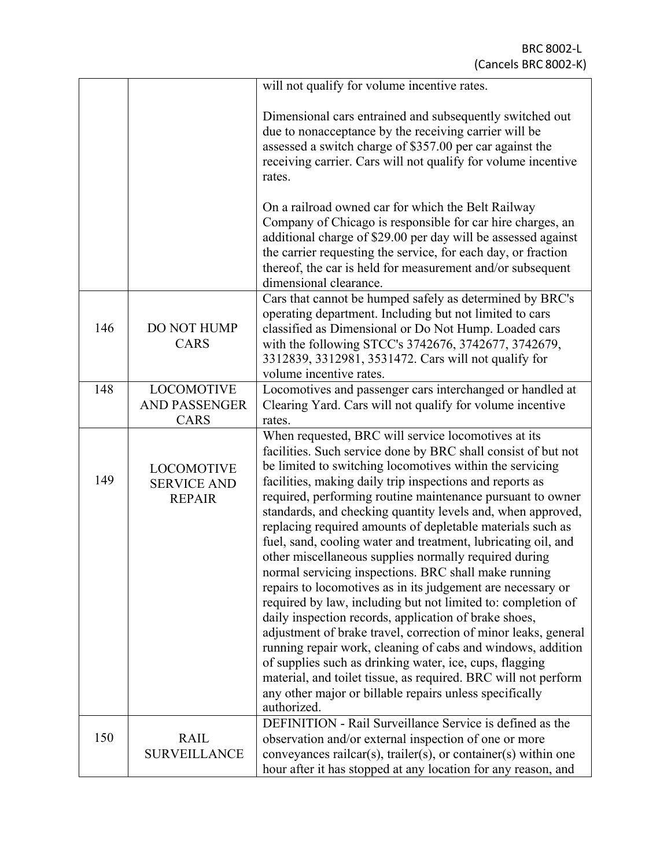|     |                                                          | will not qualify for volume incentive rates.                                                                                                                                                                                                                                                                                                                                                                                                                                                                                                                                                                                                                                                                                                                                                                                                                                                                                                                                                                                                                                                                                                              |
|-----|----------------------------------------------------------|-----------------------------------------------------------------------------------------------------------------------------------------------------------------------------------------------------------------------------------------------------------------------------------------------------------------------------------------------------------------------------------------------------------------------------------------------------------------------------------------------------------------------------------------------------------------------------------------------------------------------------------------------------------------------------------------------------------------------------------------------------------------------------------------------------------------------------------------------------------------------------------------------------------------------------------------------------------------------------------------------------------------------------------------------------------------------------------------------------------------------------------------------------------|
|     |                                                          | Dimensional cars entrained and subsequently switched out<br>due to nonacceptance by the receiving carrier will be<br>assessed a switch charge of \$357.00 per car against the<br>receiving carrier. Cars will not qualify for volume incentive<br>rates.                                                                                                                                                                                                                                                                                                                                                                                                                                                                                                                                                                                                                                                                                                                                                                                                                                                                                                  |
|     |                                                          | On a railroad owned car for which the Belt Railway<br>Company of Chicago is responsible for car hire charges, an<br>additional charge of \$29.00 per day will be assessed against<br>the carrier requesting the service, for each day, or fraction<br>thereof, the car is held for measurement and/or subsequent<br>dimensional clearance.                                                                                                                                                                                                                                                                                                                                                                                                                                                                                                                                                                                                                                                                                                                                                                                                                |
| 146 | <b>DO NOT HUMP</b><br>CARS                               | Cars that cannot be humped safely as determined by BRC's<br>operating department. Including but not limited to cars<br>classified as Dimensional or Do Not Hump. Loaded cars<br>with the following STCC's 3742676, 3742677, 3742679,<br>3312839, 3312981, 3531472. Cars will not qualify for<br>volume incentive rates.                                                                                                                                                                                                                                                                                                                                                                                                                                                                                                                                                                                                                                                                                                                                                                                                                                   |
| 148 | <b>LOCOMOTIVE</b><br><b>AND PASSENGER</b><br>CARS        | Locomotives and passenger cars interchanged or handled at<br>Clearing Yard. Cars will not qualify for volume incentive<br>rates.                                                                                                                                                                                                                                                                                                                                                                                                                                                                                                                                                                                                                                                                                                                                                                                                                                                                                                                                                                                                                          |
| 149 | <b>LOCOMOTIVE</b><br><b>SERVICE AND</b><br><b>REPAIR</b> | When requested, BRC will service locomotives at its<br>facilities. Such service done by BRC shall consist of but not<br>be limited to switching locomotives within the servicing<br>facilities, making daily trip inspections and reports as<br>required, performing routine maintenance pursuant to owner<br>standards, and checking quantity levels and, when approved,<br>replacing required amounts of depletable materials such as<br>fuel, sand, cooling water and treatment, lubricating oil, and<br>other miscellaneous supplies normally required during<br>normal servicing inspections. BRC shall make running<br>repairs to locomotives as in its judgement are necessary or<br>required by law, including but not limited to: completion of<br>daily inspection records, application of brake shoes,<br>adjustment of brake travel, correction of minor leaks, general<br>running repair work, cleaning of cabs and windows, addition<br>of supplies such as drinking water, ice, cups, flagging<br>material, and toilet tissue, as required. BRC will not perform<br>any other major or billable repairs unless specifically<br>authorized. |
| 150 | <b>RAIL</b><br><b>SURVEILLANCE</b>                       | DEFINITION - Rail Surveillance Service is defined as the<br>observation and/or external inspection of one or more<br>conveyances railcar(s), trailer(s), or container(s) within one<br>hour after it has stopped at any location for any reason, and                                                                                                                                                                                                                                                                                                                                                                                                                                                                                                                                                                                                                                                                                                                                                                                                                                                                                                      |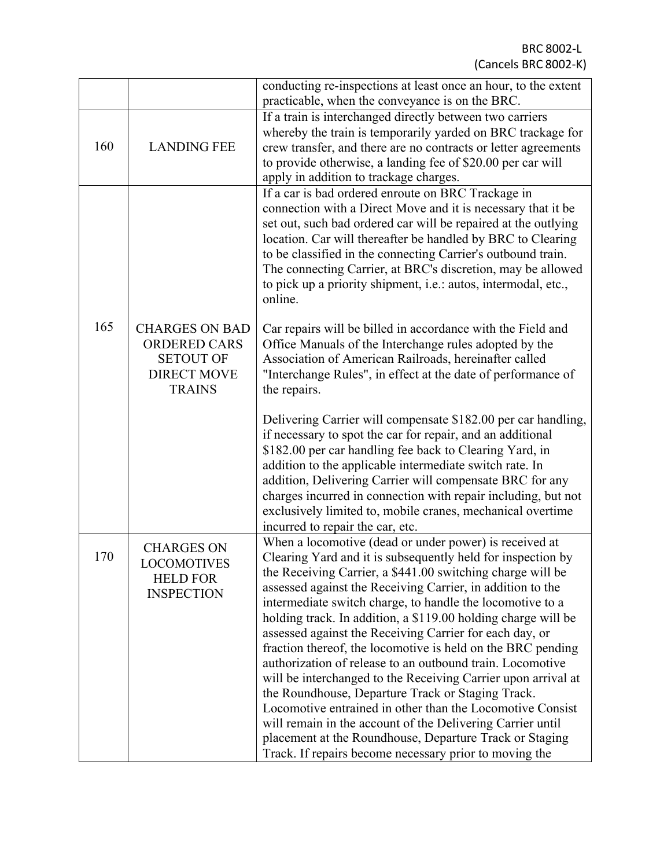|     |                                                                                                         | conducting re-inspections at least once an hour, to the extent<br>practicable, when the conveyance is on the BRC.                                                                                                                                                                                                                                                                                                                                                                              |  |
|-----|---------------------------------------------------------------------------------------------------------|------------------------------------------------------------------------------------------------------------------------------------------------------------------------------------------------------------------------------------------------------------------------------------------------------------------------------------------------------------------------------------------------------------------------------------------------------------------------------------------------|--|
| 160 | <b>LANDING FEE</b>                                                                                      | If a train is interchanged directly between two carriers<br>whereby the train is temporarily yarded on BRC trackage for<br>crew transfer, and there are no contracts or letter agreements<br>to provide otherwise, a landing fee of \$20.00 per car will<br>apply in addition to trackage charges.                                                                                                                                                                                             |  |
|     |                                                                                                         | If a car is bad ordered enroute on BRC Trackage in<br>connection with a Direct Move and it is necessary that it be<br>set out, such bad ordered car will be repaired at the outlying<br>location. Car will thereafter be handled by BRC to Clearing<br>to be classified in the connecting Carrier's outbound train.<br>The connecting Carrier, at BRC's discretion, may be allowed<br>to pick up a priority shipment, <i>i.e.:</i> autos, intermodal, etc.,<br>online.                         |  |
| 165 | <b>CHARGES ON BAD</b><br><b>ORDERED CARS</b><br><b>SETOUT OF</b><br><b>DIRECT MOVE</b><br><b>TRAINS</b> | Car repairs will be billed in accordance with the Field and<br>Office Manuals of the Interchange rules adopted by the<br>Association of American Railroads, hereinafter called<br>"Interchange Rules", in effect at the date of performance of<br>the repairs.                                                                                                                                                                                                                                 |  |
|     |                                                                                                         | Delivering Carrier will compensate \$182.00 per car handling,<br>if necessary to spot the car for repair, and an additional<br>\$182.00 per car handling fee back to Clearing Yard, in<br>addition to the applicable intermediate switch rate. In<br>addition, Delivering Carrier will compensate BRC for any<br>charges incurred in connection with repair including, but not<br>exclusively limited to, mobile cranes, mechanical overtime<br>incurred to repair the car, etc.               |  |
| 170 | <b>CHARGES ON</b><br>LOCOMOTIVES<br><b>HELD FOR</b><br><b>INSPECTION</b>                                | When a locomotive (dead or under power) is received at<br>Clearing Yard and it is subsequently held for inspection by<br>the Receiving Carrier, a \$441.00 switching charge will be<br>assessed against the Receiving Carrier, in addition to the<br>intermediate switch charge, to handle the locomotive to a<br>holding track. In addition, a \$119.00 holding charge will be<br>assessed against the Receiving Carrier for each day, or                                                     |  |
|     |                                                                                                         | fraction thereof, the locomotive is held on the BRC pending<br>authorization of release to an outbound train. Locomotive<br>will be interchanged to the Receiving Carrier upon arrival at<br>the Roundhouse, Departure Track or Staging Track.<br>Locomotive entrained in other than the Locomotive Consist<br>will remain in the account of the Delivering Carrier until<br>placement at the Roundhouse, Departure Track or Staging<br>Track. If repairs become necessary prior to moving the |  |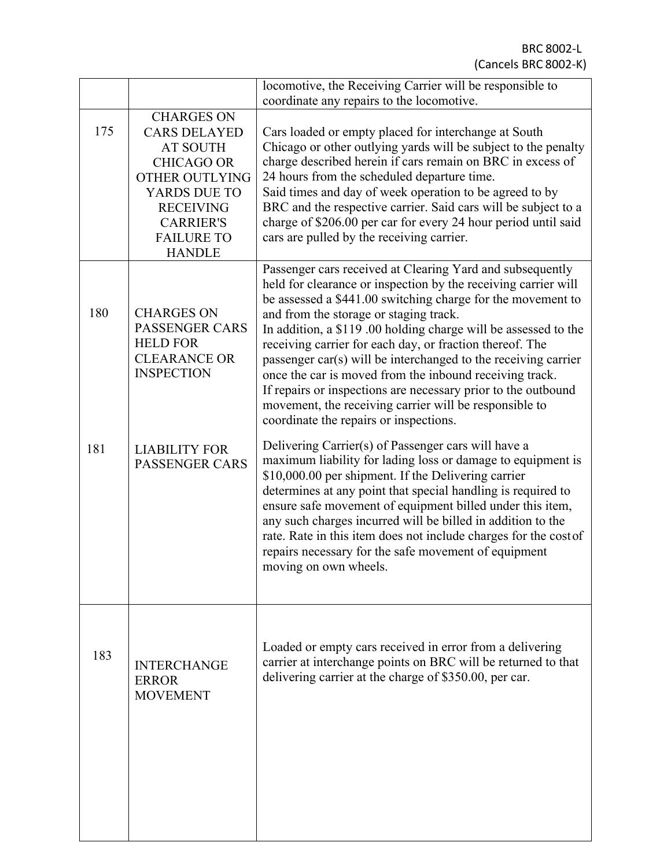|                                                                                                                                                                                                  | locomotive, the Receiving Carrier will be responsible to<br>coordinate any repairs to the locomotive.                                                                                                                                                                                                                                                                                                                                                                                                                                                                                                                                                                |  |
|--------------------------------------------------------------------------------------------------------------------------------------------------------------------------------------------------|----------------------------------------------------------------------------------------------------------------------------------------------------------------------------------------------------------------------------------------------------------------------------------------------------------------------------------------------------------------------------------------------------------------------------------------------------------------------------------------------------------------------------------------------------------------------------------------------------------------------------------------------------------------------|--|
| <b>CHARGES ON</b><br><b>CARS DELAYED</b><br><b>AT SOUTH</b><br><b>CHICAGO OR</b><br>OTHER OUTLYING<br>YARDS DUE TO<br><b>RECEIVING</b><br><b>CARRIER'S</b><br><b>FAILURE TO</b><br><b>HANDLE</b> | Cars loaded or empty placed for interchange at South<br>Chicago or other outlying yards will be subject to the penalty<br>charge described herein if cars remain on BRC in excess of<br>24 hours from the scheduled departure time.<br>Said times and day of week operation to be agreed to by<br>BRC and the respective carrier. Said cars will be subject to a<br>charge of \$206.00 per car for every 24 hour period until said<br>cars are pulled by the receiving carrier.                                                                                                                                                                                      |  |
| <b>CHARGES ON</b><br><b>PASSENGER CARS</b><br><b>HELD FOR</b><br><b>CLEARANCE OR</b><br><b>INSPECTION</b>                                                                                        | Passenger cars received at Clearing Yard and subsequently<br>held for clearance or inspection by the receiving carrier will<br>be assessed a \$441.00 switching charge for the movement to<br>and from the storage or staging track.<br>In addition, a \$119.00 holding charge will be assessed to the<br>receiving carrier for each day, or fraction thereof. The<br>passenger car(s) will be interchanged to the receiving carrier<br>once the car is moved from the inbound receiving track.<br>If repairs or inspections are necessary prior to the outbound<br>movement, the receiving carrier will be responsible to<br>coordinate the repairs or inspections. |  |
| <b>LIABILITY FOR</b><br><b>PASSENGER CARS</b>                                                                                                                                                    | Delivering Carrier(s) of Passenger cars will have a<br>maximum liability for lading loss or damage to equipment is<br>\$10,000.00 per shipment. If the Delivering carrier<br>determines at any point that special handling is required to<br>ensure safe movement of equipment billed under this item,<br>any such charges incurred will be billed in addition to the<br>rate. Rate in this item does not include charges for the cost of<br>repairs necessary for the safe movement of equipment<br>moving on own wheels.                                                                                                                                           |  |
| <b>INTERCHANGE</b><br><b>ERROR</b><br><b>MOVEMENT</b>                                                                                                                                            | Loaded or empty cars received in error from a delivering<br>carrier at interchange points on BRC will be returned to that<br>delivering carrier at the charge of \$350.00, per car.                                                                                                                                                                                                                                                                                                                                                                                                                                                                                  |  |
|                                                                                                                                                                                                  |                                                                                                                                                                                                                                                                                                                                                                                                                                                                                                                                                                                                                                                                      |  |

ı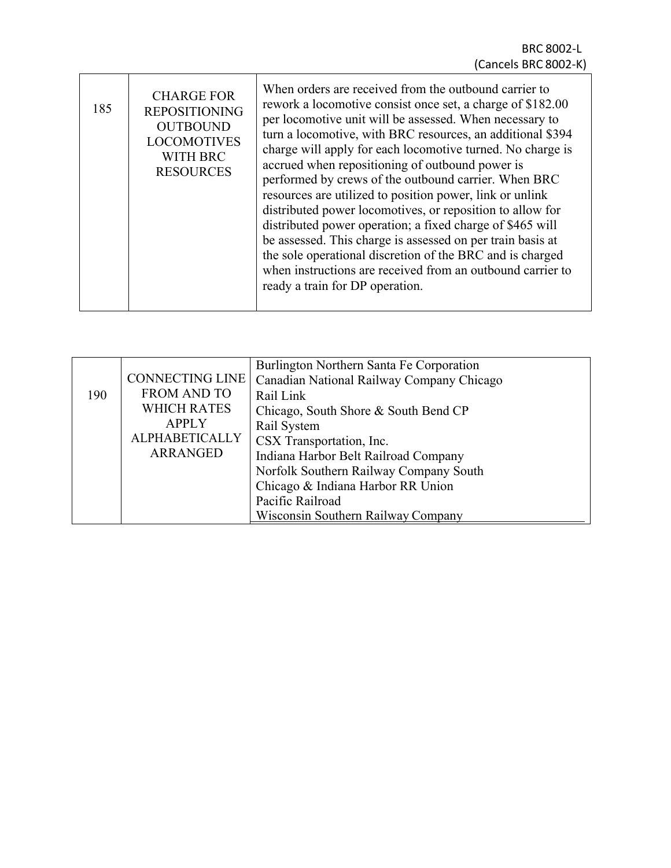| 185 | <b>CHARGE FOR</b><br><b>REPOSITIONING</b><br><b>OUTBOUND</b><br><b>LOCOMOTIVES</b><br><b>WITH BRC</b><br><b>RESOURCES</b> | When orders are received from the outbound carrier to<br>rework a locomotive consist once set, a charge of \$182.00<br>per locomotive unit will be assessed. When necessary to<br>turn a locomotive, with BRC resources, an additional \$394<br>charge will apply for each locomotive turned. No charge is<br>accrued when repositioning of outbound power is<br>performed by crews of the outbound carrier. When BRC<br>resources are utilized to position power, link or unlink<br>distributed power locomotives, or reposition to allow for<br>distributed power operation; a fixed charge of \$465 will<br>be assessed. This charge is assessed on per train basis at<br>the sole operational discretion of the BRC and is charged<br>when instructions are received from an outbound carrier to<br>ready a train for DP operation. |
|-----|---------------------------------------------------------------------------------------------------------------------------|-----------------------------------------------------------------------------------------------------------------------------------------------------------------------------------------------------------------------------------------------------------------------------------------------------------------------------------------------------------------------------------------------------------------------------------------------------------------------------------------------------------------------------------------------------------------------------------------------------------------------------------------------------------------------------------------------------------------------------------------------------------------------------------------------------------------------------------------|
|-----|---------------------------------------------------------------------------------------------------------------------------|-----------------------------------------------------------------------------------------------------------------------------------------------------------------------------------------------------------------------------------------------------------------------------------------------------------------------------------------------------------------------------------------------------------------------------------------------------------------------------------------------------------------------------------------------------------------------------------------------------------------------------------------------------------------------------------------------------------------------------------------------------------------------------------------------------------------------------------------|

Г

| <b>CONNECTING LINE</b><br><b>FROM AND TO</b><br><b>WHICH RATES</b><br><b>APPLY</b><br><b>ALPHABETICALLY</b><br>ARRANGED | Burlington Northern Santa Fe Corporation<br>Canadian National Railway Company Chicago<br>Rail Link<br>Chicago, South Shore & South Bend CP<br>Rail System<br>CSX Transportation, Inc.<br>Indiana Harbor Belt Railroad Company<br>Norfolk Southern Railway Company South<br>Chicago & Indiana Harbor RR Union |
|-------------------------------------------------------------------------------------------------------------------------|--------------------------------------------------------------------------------------------------------------------------------------------------------------------------------------------------------------------------------------------------------------------------------------------------------------|
|                                                                                                                         | Pacific Railroad<br><b>Wisconsin Southern Railway Company</b>                                                                                                                                                                                                                                                |
|                                                                                                                         |                                                                                                                                                                                                                                                                                                              |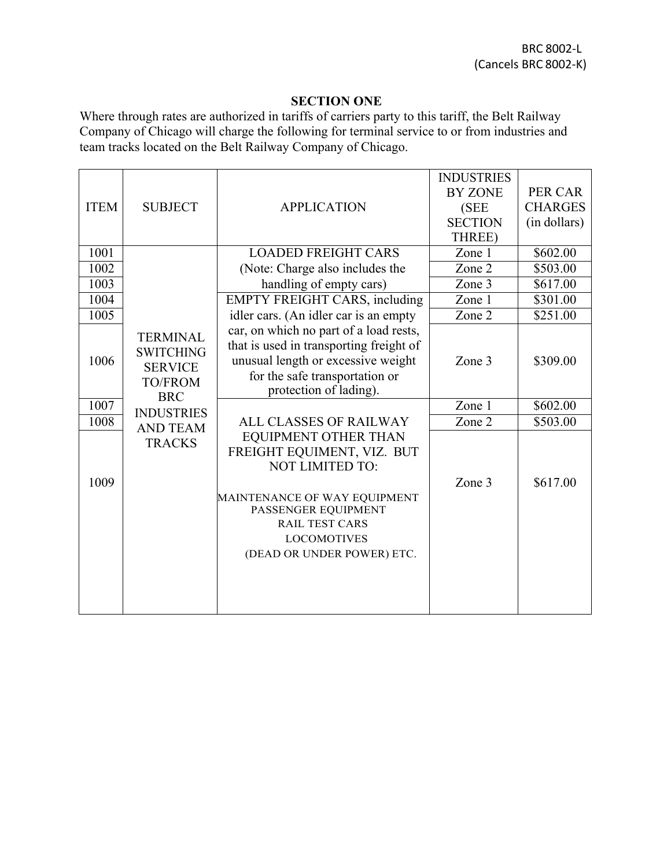## **SECTION ONE**

Where through rates are authorized in tariffs of carriers party to this tariff, the Belt Railway Company of Chicago will charge the following for terminal service to or from industries and team tracks located on the Belt Railway Company of Chicago.

|             |                                                                         |                                                                                                                                                                                     | <b>INDUSTRIES</b> |                |
|-------------|-------------------------------------------------------------------------|-------------------------------------------------------------------------------------------------------------------------------------------------------------------------------------|-------------------|----------------|
|             |                                                                         |                                                                                                                                                                                     | <b>BY ZONE</b>    | PER CAR        |
| <b>ITEM</b> | <b>SUBJECT</b>                                                          | <b>APPLICATION</b>                                                                                                                                                                  | (SEE              | <b>CHARGES</b> |
|             |                                                                         |                                                                                                                                                                                     | <b>SECTION</b>    | (in dollars)   |
|             |                                                                         |                                                                                                                                                                                     | THREE)            |                |
| 1001        |                                                                         | <b>LOADED FREIGHT CARS</b>                                                                                                                                                          | Zone 1            | \$602.00       |
| 1002        |                                                                         | (Note: Charge also includes the                                                                                                                                                     | Zone 2            | \$503.00       |
| 1003        |                                                                         | handling of empty cars)                                                                                                                                                             | Zone 3            | \$617.00       |
| 1004        |                                                                         | <b>EMPTY FREIGHT CARS, including</b>                                                                                                                                                | Zone 1            | \$301.00       |
| 1005        |                                                                         | idler cars. (An idler car is an empty                                                                                                                                               | Zone 2            | \$251.00       |
| 1006        | <b>TERMINAL</b><br><b>SWITCHING</b><br><b>SERVICE</b><br><b>TO/FROM</b> | car, on which no part of a load rests,<br>that is used in transporting freight of<br>unusual length or excessive weight<br>for the safe transportation or<br>protection of lading). | Zone 3            | \$309.00       |
| 1007        | <b>BRC</b><br><b>INDUSTRIES</b>                                         |                                                                                                                                                                                     | Zone 1            | \$602.00       |
| 1008        | <b>AND TEAM</b>                                                         | <b>ALL CLASSES OF RAILWAY</b>                                                                                                                                                       | Zone 2            | \$503.00       |
| 1009        | <b>TRACKS</b>                                                           | <b>EQUIPMENT OTHER THAN</b><br>FREIGHT EQUIMENT, VIZ. BUT<br><b>NOT LIMITED TO:</b>                                                                                                 | Zone 3            | \$617.00       |
|             |                                                                         | MAINTENANCE OF WAY EQUIPMENT<br>PASSENGER EQUIPMENT<br><b>RAIL TEST CARS</b><br><b>LOCOMOTIVES</b><br>(DEAD OR UNDER POWER) ETC.                                                    |                   |                |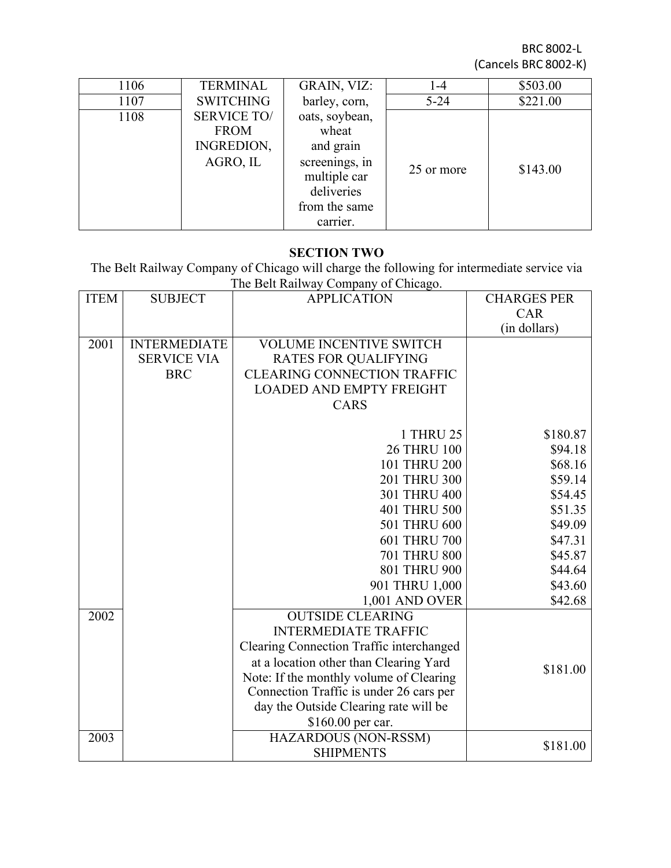BRC 8002-L (Cancels BRC 8002-K)

| 1106 | <b>TERMINAL</b>    | <b>GRAIN, VIZ:</b> | 1-4        | \$503.00 |
|------|--------------------|--------------------|------------|----------|
| 1107 | <b>SWITCHING</b>   | barley, corn,      | $5 - 24$   | \$221.00 |
| 1108 | <b>SERVICE TO/</b> | oats, soybean,     |            |          |
|      | <b>FROM</b>        | wheat              |            |          |
|      | INGREDION,         | and grain          |            |          |
|      | AGRO, IL           | screenings, in     | 25 or more | \$143.00 |
|      |                    | multiple car       |            |          |
|      |                    | deliveries         |            |          |
|      |                    | from the same      |            |          |
|      |                    | carrier.           |            |          |

#### **SECTION TWO**

The Belt Railway Company of Chicago will charge the following for intermediate service via The Belt Railway Company of Chicago.

| <b>ITEM</b> | <b>SUBJECT</b>      | <b>APPLICATION</b>                       | <b>CHARGES PER</b> |
|-------------|---------------------|------------------------------------------|--------------------|
|             |                     |                                          | CAR                |
|             |                     |                                          | (in dollars)       |
| 2001        | <b>INTERMEDIATE</b> | <b>VOLUME INCENTIVE SWITCH</b>           |                    |
|             | <b>SERVICE VIA</b>  | <b>RATES FOR QUALIFYING</b>              |                    |
|             | <b>BRC</b>          | <b>CLEARING CONNECTION TRAFFIC</b>       |                    |
|             |                     | <b>LOADED AND EMPTY FREIGHT</b>          |                    |
|             |                     | CARS                                     |                    |
|             |                     | 1 THRU 25                                | \$180.87           |
|             |                     | <b>26 THRU 100</b>                       | \$94.18            |
|             |                     | 101 THRU 200                             | \$68.16            |
|             |                     | 201 THRU 300                             | \$59.14            |
|             |                     | 301 THRU 400                             | \$54.45            |
|             |                     | 401 THRU 500                             | \$51.35            |
|             |                     | 501 THRU 600                             | \$49.09            |
|             |                     | 601 THRU 700                             | \$47.31            |
|             |                     | <b>701 THRU 800</b>                      | \$45.87            |
|             |                     | 801 THRU 900                             | \$44.64            |
|             |                     | 901 THRU 1,000                           | \$43.60            |
|             |                     | 1,001 AND OVER                           | \$42.68            |
| 2002        |                     | <b>OUTSIDE CLEARING</b>                  |                    |
|             |                     | <b>INTERMEDIATE TRAFFIC</b>              |                    |
|             |                     | Clearing Connection Traffic interchanged |                    |
|             |                     | at a location other than Clearing Yard   |                    |
|             |                     | Note: If the monthly volume of Clearing  | \$181.00           |
|             |                     | Connection Traffic is under 26 cars per  |                    |
|             |                     | day the Outside Clearing rate will be    |                    |
|             |                     | \$160.00 per car.                        |                    |
| 2003        |                     | HAZARDOUS (NON-RSSM)                     | \$181.00           |
|             |                     | <b>SHIPMENTS</b>                         |                    |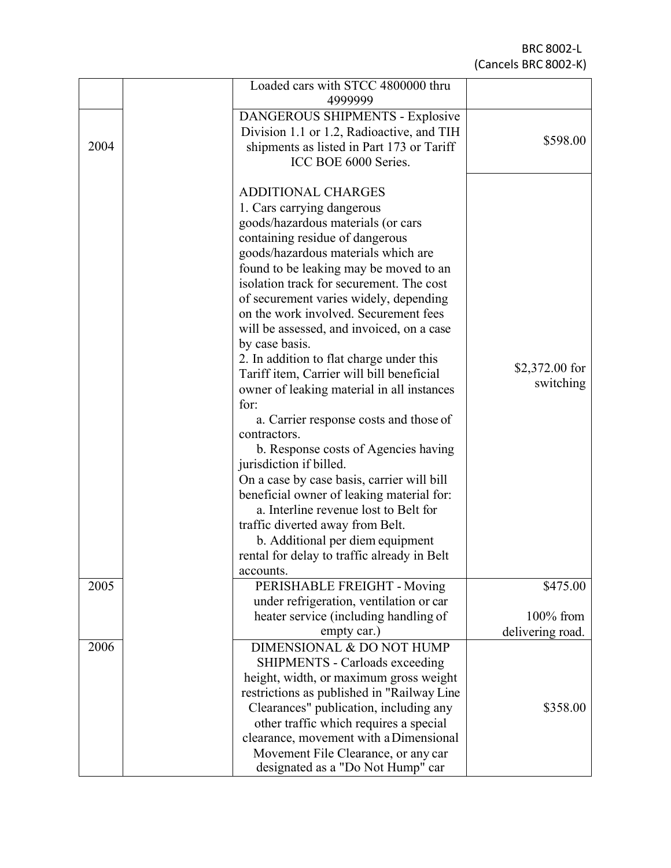BRC 8002 - L (Cancels BRC 8002-K)

|      | Loaded cars with STCC 4800000 thru<br>4999999        |                  |
|------|------------------------------------------------------|------------------|
|      | DANGEROUS SHIPMENTS - Explosive                      |                  |
|      | Division 1.1 or 1.2, Radioactive, and TIH            |                  |
| 2004 | shipments as listed in Part 173 or Tariff            | \$598.00         |
|      | ICC BOE 6000 Series.                                 |                  |
|      |                                                      |                  |
|      | <b>ADDITIONAL CHARGES</b>                            |                  |
|      | 1. Cars carrying dangerous                           |                  |
|      | goods/hazardous materials (or cars                   |                  |
|      | containing residue of dangerous                      |                  |
|      | goods/hazardous materials which are                  |                  |
|      | found to be leaking may be moved to an               |                  |
|      | isolation track for securement. The cost             |                  |
|      | of securement varies widely, depending               |                  |
|      | on the work involved. Securement fees                |                  |
|      | will be assessed, and invoiced, on a case            |                  |
|      | by case basis.                                       |                  |
|      | 2. In addition to flat charge under this             |                  |
|      | Tariff item, Carrier will bill beneficial            | $$2,372.00$ for  |
|      | owner of leaking material in all instances           | switching        |
|      | for:                                                 |                  |
|      | a. Carrier response costs and those of               |                  |
|      | contractors.                                         |                  |
|      | b. Response costs of Agencies having                 |                  |
|      | jurisdiction if billed.                              |                  |
|      | On a case by case basis, carrier will bill           |                  |
|      | beneficial owner of leaking material for:            |                  |
|      | a. Interline revenue lost to Belt for                |                  |
|      | traffic diverted away from Belt.                     |                  |
|      | b. Additional per diem equipment                     |                  |
|      | rental for delay to traffic already in Belt          |                  |
|      | accounts.                                            |                  |
| 2005 | PERISHABLE FREIGHT - Moving                          | \$475.00         |
|      | under refrigeration, ventilation or car              |                  |
|      | heater service (including handling of<br>empty car.) | $100\%$ from     |
| 2006 | DIMENSIONAL & DO NOT HUMP                            | delivering road. |
|      |                                                      |                  |
|      | <b>SHIPMENTS - Carloads exceeding</b>                |                  |
|      | height, width, or maximum gross weight               |                  |
|      | restrictions as published in "Railway Line           |                  |
|      | Clearances" publication, including any               | \$358.00         |
|      | other traffic which requires a special               |                  |
|      | clearance, movement with a Dimensional               |                  |
|      | Movement File Clearance, or any car                  |                  |
|      | designated as a "Do Not Hump" car                    |                  |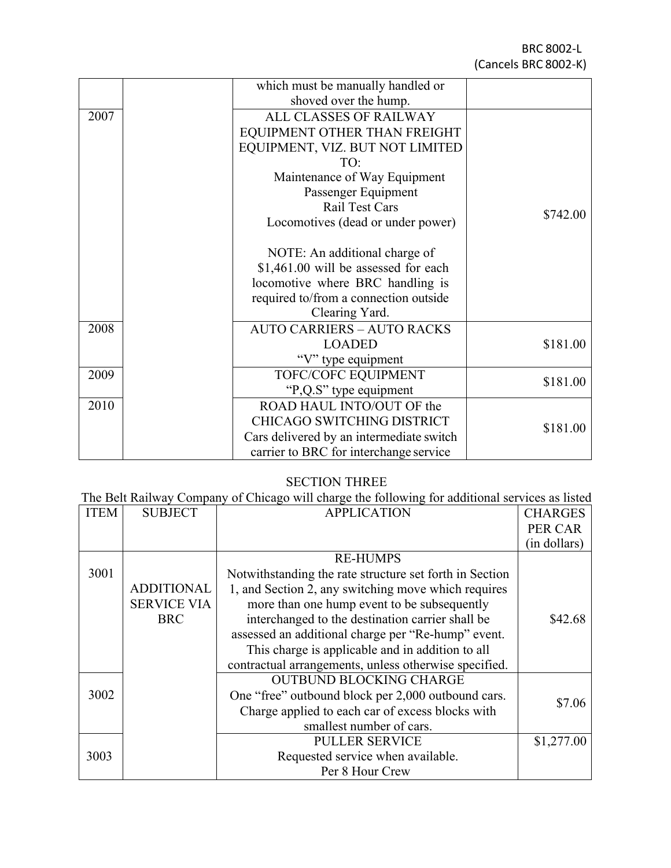|      | which must be manually handled or        |          |
|------|------------------------------------------|----------|
|      | shoved over the hump.                    |          |
| 2007 | ALL CLASSES OF RAILWAY                   |          |
|      | EQUIPMENT OTHER THAN FREIGHT             |          |
|      | EQUIPMENT, VIZ. BUT NOT LIMITED          |          |
|      | TO:                                      |          |
|      | Maintenance of Way Equipment             |          |
|      | Passenger Equipment                      |          |
|      | Rail Test Cars                           | \$742.00 |
|      | Locomotives (dead or under power)        |          |
|      |                                          |          |
|      | NOTE: An additional charge of            |          |
|      | \$1,461.00 will be assessed for each     |          |
|      | locomotive where BRC handling is         |          |
|      | required to/from a connection outside    |          |
|      | Clearing Yard.                           |          |
| 2008 | <b>AUTO CARRIERS - AUTO RACKS</b>        |          |
|      | <b>LOADED</b>                            | \$181.00 |
|      | "V" type equipment                       |          |
| 2009 | TOFC/COFC EQUIPMENT                      | \$181.00 |
|      | "P,Q.S" type equipment                   |          |
| 2010 | ROAD HAUL INTO/OUT OF the                |          |
|      | CHICAGO SWITCHING DISTRICT               | \$181.00 |
|      | Cars delivered by an intermediate switch |          |
|      | carrier to BRC for interchange service   |          |

#### SECTION THREE

The Belt Railway Company of Chicago will charge the following for additional services as listed

| <b>ITEM</b> | <b>SUBJECT</b>     | $\frac{1}{2}$ $\frac{1}{2}$ $\frac{1}{2}$ $\frac{1}{2}$ $\frac{1}{2}$ $\frac{1}{2}$ $\frac{1}{2}$ $\frac{1}{2}$ $\frac{1}{2}$ $\frac{1}{2}$ $\frac{1}{2}$ $\frac{1}{2}$ $\frac{1}{2}$ $\frac{1}{2}$ $\frac{1}{2}$ $\frac{1}{2}$ $\frac{1}{2}$ $\frac{1}{2}$ $\frac{1}{2}$ $\frac{1}{2}$ $\frac{1}{2}$ $\frac{1}{2}$<br><b>APPLICATION</b> | <b>CHARGES</b> |
|-------------|--------------------|-------------------------------------------------------------------------------------------------------------------------------------------------------------------------------------------------------------------------------------------------------------------------------------------------------------------------------------------|----------------|
|             |                    |                                                                                                                                                                                                                                                                                                                                           | PER CAR        |
|             |                    |                                                                                                                                                                                                                                                                                                                                           | (in dollars)   |
|             |                    | <b>RE-HUMPS</b>                                                                                                                                                                                                                                                                                                                           |                |
| 3001        |                    | Notwithstanding the rate structure set forth in Section                                                                                                                                                                                                                                                                                   |                |
|             | <b>ADDITIONAL</b>  | 1, and Section 2, any switching move which requires                                                                                                                                                                                                                                                                                       |                |
|             | <b>SERVICE VIA</b> | more than one hump event to be subsequently                                                                                                                                                                                                                                                                                               |                |
|             | <b>BRC</b>         | interchanged to the destination carrier shall be                                                                                                                                                                                                                                                                                          | \$42.68        |
|             |                    | assessed an additional charge per "Re-hump" event.                                                                                                                                                                                                                                                                                        |                |
|             |                    | This charge is applicable and in addition to all                                                                                                                                                                                                                                                                                          |                |
|             |                    | contractual arrangements, unless otherwise specified.                                                                                                                                                                                                                                                                                     |                |
|             |                    | <b>OUTBUND BLOCKING CHARGE</b>                                                                                                                                                                                                                                                                                                            |                |
| 3002        |                    | One "free" outbound block per 2,000 outbound cars.                                                                                                                                                                                                                                                                                        | \$7.06         |
|             |                    | Charge applied to each car of excess blocks with                                                                                                                                                                                                                                                                                          |                |
|             |                    | smallest number of cars.                                                                                                                                                                                                                                                                                                                  |                |
|             |                    | <b>PULLER SERVICE</b>                                                                                                                                                                                                                                                                                                                     | \$1,277.00     |
| 3003        |                    | Requested service when available.                                                                                                                                                                                                                                                                                                         |                |
|             |                    | Per 8 Hour Crew                                                                                                                                                                                                                                                                                                                           |                |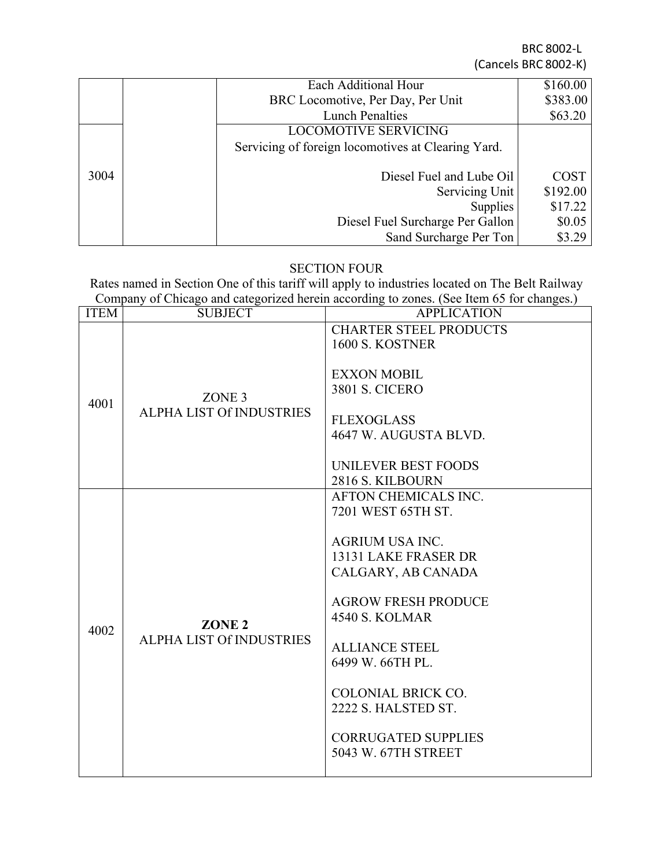BRC 8002-L (Cancels BRC 8002-K)

|      | Each Additional Hour                               | \$160.00    |
|------|----------------------------------------------------|-------------|
|      | BRC Locomotive, Per Day, Per Unit                  | \$383.00    |
|      | <b>Lunch Penalties</b>                             | \$63.20     |
|      | <b>LOCOMOTIVE SERVICING</b>                        |             |
|      | Servicing of foreign locomotives at Clearing Yard. |             |
| 3004 | Diesel Fuel and Lube Oil                           | <b>COST</b> |
|      | Servicing Unit                                     | \$192.00    |
|      | <b>Supplies</b>                                    | \$17.22     |
|      | Diesel Fuel Surcharge Per Gallon                   | \$0.05      |
|      | Sand Surcharge Per Ton                             | \$3.29      |

## SECTION FOUR

Rates named in Section One of this tariff will apply to industries located on The Belt Railway Company of Chicago and categorized herein according to zones. (See Item 65 for changes.)

| <b>ITEM</b> | <b>SUBJECT</b>                  | <b>APPLICATION</b>                               |
|-------------|---------------------------------|--------------------------------------------------|
|             |                                 | <b>CHARTER STEEL PRODUCTS</b>                    |
|             |                                 | 1600 S. KOSTNER                                  |
|             |                                 | <b>EXXON MOBIL</b>                               |
|             |                                 | <b>3801 S. CICERO</b>                            |
| 4001        | ZONE <sub>3</sub>               |                                                  |
|             | ALPHA LIST Of INDUSTRIES        | <b>FLEXOGLASS</b>                                |
|             |                                 | 4647 W. AUGUSTA BLVD.                            |
|             |                                 |                                                  |
|             |                                 | UNILEVER BEST FOODS                              |
|             |                                 | 2816 S. KILBOURN                                 |
|             |                                 | AFTON CHEMICALS INC.                             |
| 4002        | ZONE <sub>2</sub>               | 7201 WEST 65TH ST.                               |
|             |                                 | <b>AGRIUM USA INC.</b>                           |
|             |                                 | 13131 LAKE FRASER DR                             |
|             |                                 | CALGARY, AB CANADA                               |
|             |                                 |                                                  |
|             |                                 | <b>AGROW FRESH PRODUCE</b>                       |
|             |                                 | <b>4540 S. KOLMAR</b>                            |
|             | <b>ALPHA LIST Of INDUSTRIES</b> |                                                  |
|             |                                 | <b>ALLIANCE STEEL</b>                            |
|             |                                 | 6499 W. 66TH PL.                                 |
|             |                                 |                                                  |
|             |                                 | <b>COLONIAL BRICK CO.</b><br>2222 S. HALSTED ST. |
|             |                                 |                                                  |
|             |                                 | <b>CORRUGATED SUPPLIES</b>                       |
|             |                                 | 5043 W. 67TH STREET                              |
|             |                                 |                                                  |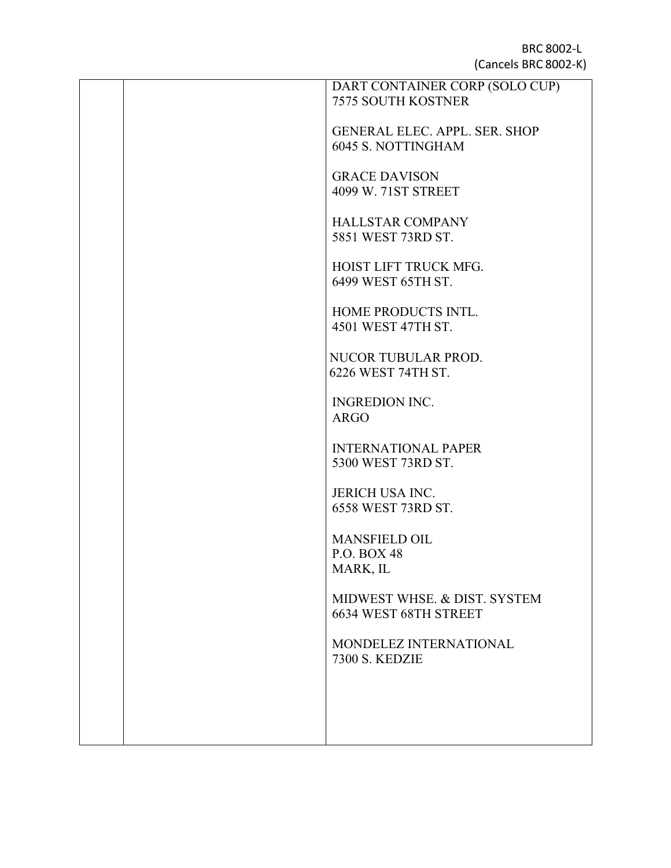|  | DART CONTAINER CORP (SOLO CUP)                                    |
|--|-------------------------------------------------------------------|
|  | <b>7575 SOUTH KOSTNER</b>                                         |
|  |                                                                   |
|  | <b>GENERAL ELEC. APPL. SER. SHOP</b><br><b>6045 S. NOTTINGHAM</b> |
|  |                                                                   |
|  | <b>GRACE DAVISON</b>                                              |
|  | 4099 W. 71ST STREET                                               |
|  |                                                                   |
|  | <b>HALLSTAR COMPANY</b>                                           |
|  | 5851 WEST 73RD ST.                                                |
|  |                                                                   |
|  | HOIST LIFT TRUCK MFG.<br>6499 WEST 65TH ST.                       |
|  |                                                                   |
|  | HOME PRODUCTS INTL.                                               |
|  | 4501 WEST 47TH ST.                                                |
|  |                                                                   |
|  | NUCOR TUBULAR PROD.                                               |
|  | 6226 WEST 74TH ST.                                                |
|  |                                                                   |
|  | <b>INGREDION INC.</b><br><b>ARGO</b>                              |
|  |                                                                   |
|  | <b>INTERNATIONAL PAPER</b>                                        |
|  | 5300 WEST 73RD ST.                                                |
|  |                                                                   |
|  | <b>JERICH USA INC.</b>                                            |
|  | 6558 WEST 73RD ST.                                                |
|  |                                                                   |
|  | <b>MANSFIELD OIL</b><br>P.O. BOX 48                               |
|  | MARK, IL                                                          |
|  |                                                                   |
|  | MIDWEST WHSE, & DIST, SYSTEM                                      |
|  | 6634 WEST 68TH STREET                                             |
|  |                                                                   |
|  | MONDELEZ INTERNATIONAL                                            |
|  | <b>7300 S. KEDZIE</b>                                             |
|  |                                                                   |
|  |                                                                   |
|  |                                                                   |
|  |                                                                   |
|  |                                                                   |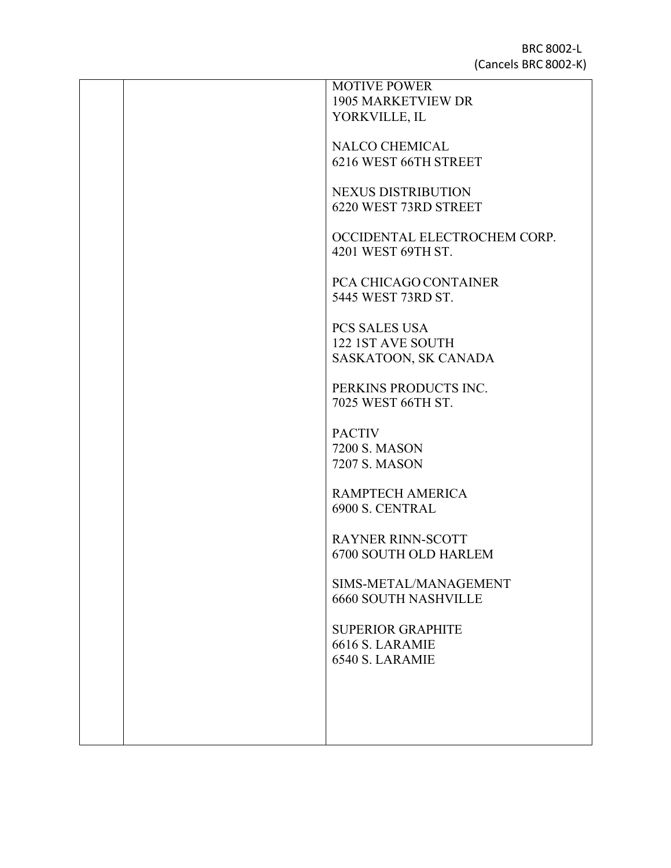|  | <b>MOTIVE POWER</b>          |
|--|------------------------------|
|  | <b>1905 MARKETVIEW DR</b>    |
|  | YORKVILLE, IL                |
|  |                              |
|  | <b>NALCO CHEMICAL</b>        |
|  | 6216 WEST 66TH STREET        |
|  |                              |
|  | NEXUS DISTRIBUTION           |
|  | 6220 WEST 73RD STREET        |
|  |                              |
|  | OCCIDENTAL ELECTROCHEM CORP. |
|  | 4201 WEST 69TH ST.           |
|  |                              |
|  | PCA CHICAGO CONTAINER        |
|  | 5445 WEST 73RD ST.           |
|  |                              |
|  | PCS SALES USA                |
|  | 122 1ST AVE SOUTH            |
|  | SASKATOON, SK CANADA         |
|  |                              |
|  | PERKINS PRODUCTS INC.        |
|  | 7025 WEST 66TH ST.           |
|  |                              |
|  | <b>PACTIV</b>                |
|  | <b>7200 S. MASON</b>         |
|  | 7207 S. MASON                |
|  |                              |
|  | RAMPTECH AMERICA             |
|  | 6900 S. CENTRAL              |
|  |                              |
|  |                              |
|  | <b>RAYNER RINN-SCOTT</b>     |
|  | 6700 SOUTH OLD HARLEM        |
|  |                              |
|  | SIMS-METAL/MANAGEMENT        |
|  | <b>6660 SOUTH NASHVILLE</b>  |
|  |                              |
|  | <b>SUPERIOR GRAPHITE</b>     |
|  | 6616 S. LARAMIE              |
|  | 6540 S. LARAMIE              |
|  |                              |
|  |                              |
|  |                              |
|  |                              |
|  |                              |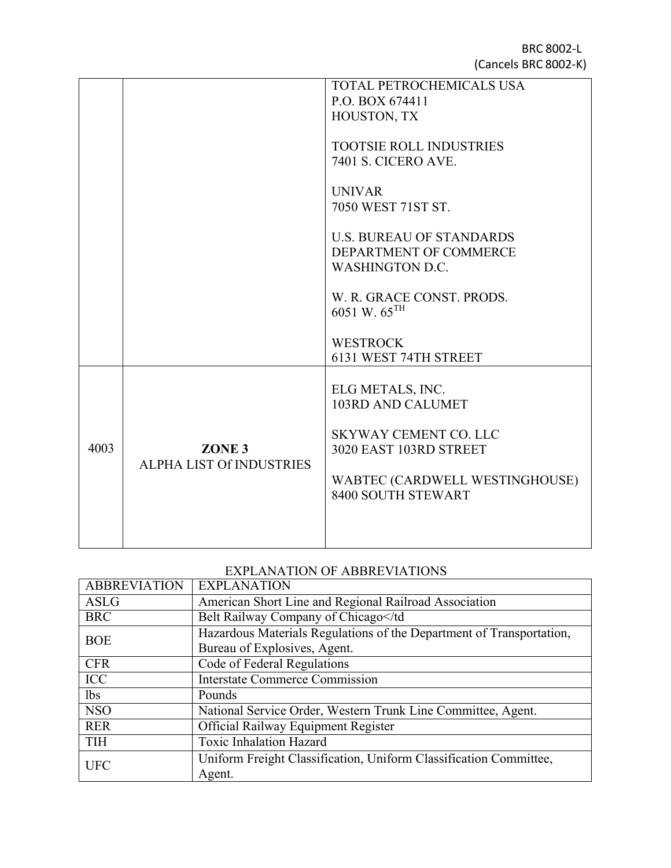BRC 8002-L (Cancels BRC 8002-K)

|      |                                                      | <b>TOTAL PETROCHEMICALS USA</b><br>P.O. BOX 674411<br>HOUSTON, TX<br><b>TOOTSIE ROLL INDUSTRIES</b><br><b>7401 S. CICERO AVE.</b><br><b>UNIVAR</b><br>7050 WEST 71ST ST.<br><b>U.S. BUREAU OF STANDARDS</b><br>DEPARTMENT OF COMMERCE<br><b>WASHINGTON D.C.</b><br>W. R. GRACE CONST. PRODS.<br>6051 W. $65^{\text{TH}}$<br><b>WESTROCK</b><br>6131 WEST 74TH STREET |
|------|------------------------------------------------------|----------------------------------------------------------------------------------------------------------------------------------------------------------------------------------------------------------------------------------------------------------------------------------------------------------------------------------------------------------------------|
| 4003 | ZONE <sub>3</sub><br><b>ALPHA LIST Of INDUSTRIES</b> | ELG METALS, INC.<br>103RD AND CALUMET<br><b>SKYWAY CEMENT CO. LLC</b><br>3020 EAST 103RD STREET<br>WABTEC (CARDWELL WESTINGHOUSE)<br>8400 SOUTH STEWART                                                                                                                                                                                                              |

## EXPLANATION OF ABBREVIATIONS

| <b>ABBREVIATION</b> | <b>EXPLANATION</b>                                                   |  |
|---------------------|----------------------------------------------------------------------|--|
| <b>ASLG</b>         | American Short Line and Regional Railroad Association                |  |
| <b>BRC</b>          | Belt Railway Company of Chicago                                      |  |
| <b>BOE</b>          | Hazardous Materials Regulations of the Department of Transportation, |  |
|                     | Bureau of Explosives, Agent.                                         |  |
| <b>CFR</b>          | Code of Federal Regulations                                          |  |
| <b>ICC</b>          | <b>Interstate Commerce Commission</b>                                |  |
| <i>lbs</i>          | Pounds                                                               |  |
| <b>NSO</b>          | National Service Order, Western Trunk Line Committee, Agent.         |  |
| <b>RER</b>          | Official Railway Equipment Register                                  |  |
| <b>TIH</b>          | <b>Toxic Inhalation Hazard</b>                                       |  |
| <b>UFC</b>          | Uniform Freight Classification, Uniform Classification Committee,    |  |
|                     | Agent.                                                               |  |